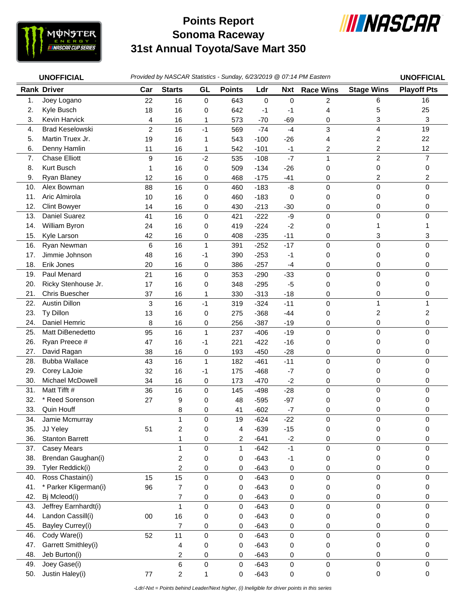

## **Sonoma Raceway 31st Annual Toyota/Save Mart 350 Points Report**



|            | <b>UNOFFICIAL</b>          | Provided by NASCAR Statistics - Sunday, 6/23/2019 @ 07:14 PM Eastern |                         |                   |               |                  |                |                  |                         | <b>UNOFFICIAL</b>  |
|------------|----------------------------|----------------------------------------------------------------------|-------------------------|-------------------|---------------|------------------|----------------|------------------|-------------------------|--------------------|
|            | <b>Rank Driver</b>         | Car                                                                  | <b>Starts</b>           | GL                | <b>Points</b> | Ldr              | <b>Nxt</b>     | <b>Race Wins</b> | <b>Stage Wins</b>       | <b>Playoff Pts</b> |
| 1.         | Joey Logano                | 22                                                                   | 16                      | 0                 | 643           | $\mathbf 0$      | 0              | $\overline{c}$   | 6                       | 16                 |
| 2.         | Kyle Busch                 | 18                                                                   | 16                      | 0                 | 642           | $-1$             | $-1$           | 4                | 5                       | 25                 |
| 3.         | Kevin Harvick              | 4                                                                    | 16                      | 1                 | 573           | $-70$            | $-69$          | 0                | 3                       | 3                  |
| 4.         | <b>Brad Keselowski</b>     | $\overline{c}$                                                       | 16                      | $-1$              | 569           | $-74$            | $-4$           | 3                | 4                       | 19                 |
| 5.         | Martin Truex Jr.           | 19                                                                   | 16                      | 1                 | 543           | $-100$           | $-26$          | 4                | $\overline{\mathbf{c}}$ | 22                 |
| 6.         | Denny Hamlin               | 11                                                                   | 16                      | 1                 | 542           | $-101$           | $-1$           | 2                | 2                       | 12                 |
| 7.         | <b>Chase Elliott</b>       | 9                                                                    | 16                      | $-2$              | 535           | $-108$           | $-7$           | $\mathbf{1}$     | $\overline{c}$          | $\overline{7}$     |
| 8.         | Kurt Busch                 | 1                                                                    | 16                      | $\pmb{0}$         | 509           | $-134$           | $-26$          | 0                | 0                       | 0                  |
| 9.         | Ryan Blaney                | 12                                                                   | 16                      | 0                 | 468           | $-175$           | $-41$          | 0                | $\overline{c}$          | 2                  |
| 10.        | Alex Bowman                | 88                                                                   | 16                      | 0                 | 460           | $-183$           | -8             | $\mathsf 0$      | 0                       | 0                  |
| 11.        | Aric Almirola              | 10                                                                   | 16                      | 0                 | 460           | $-183$           | 0              | 0                | 0                       | 0                  |
| 12.        | <b>Clint Bowyer</b>        | 14                                                                   | 16                      | 0                 | 430           | $-213$           | $-30$          | 0                | 0                       | 0                  |
| 13.        | Daniel Suarez              | 41                                                                   | 16                      | 0                 | 421           | $-222$           | -9             | 0                | 0                       | $\Omega$           |
| 14.        | William Byron              | 24                                                                   | 16                      | 0                 | 419           | $-224$           | $-2$           | 0                | 1                       |                    |
| 15.        | Kyle Larson                | 42                                                                   | 16                      | 0                 | 408           | $-235$           | $-11$          | 0                | 3                       | 3                  |
| 16.        | Ryan Newman                | $\,6$                                                                | 16                      | $\mathbf{1}$      | 391           | $-252$           | $-17$          | 0                | 0                       | $\mathbf{0}$       |
| 17.        | Jimmie Johnson             | 48                                                                   | 16                      | $-1$              | 390           | $-253$           | $-1$           | 0                | 0                       | 0                  |
| 18.        | Erik Jones                 | 20                                                                   | 16                      | 0                 | 386           | $-257$           | $-4$           | 0                | 0                       | 0                  |
| 19.        | Paul Menard                | 21                                                                   | 16                      | 0                 | 353           | $-290$           | $-33$          | $\mathsf 0$      | $\pmb{0}$               | 0                  |
| 20.        | Ricky Stenhouse Jr.        | 17                                                                   | 16                      | 0                 | 348           | $-295$           | $-5$           | 0                | 0                       | 0                  |
| 21.        | <b>Chris Buescher</b>      | 37                                                                   | 16                      | 1                 | 330           | $-313$           | $-18$          | 0                | 0                       | 0                  |
| 22.        | Austin Dillon              | 3                                                                    | 16                      | $-1$              | 319           | $-324$           | $-11$          | 0                | $\mathbf{1}$            | 1                  |
| 23.<br>24. | Ty Dillon<br>Daniel Hemric | 13                                                                   | 16<br>16                | 0                 | 275           | $-368$<br>$-387$ | $-44$          | 0                | 2                       | 2<br>0             |
| 25.        | Matt DiBenedetto           | 8<br>95                                                              | 16                      | 0<br>$\mathbf{1}$ | 256<br>237    | $-406$           | $-19$<br>$-19$ | 0<br>$\mathbf 0$ | 0<br>0                  | $\Omega$           |
| 26.        | Ryan Preece #              | 47                                                                   | 16                      | $-1$              | 221           | $-422$           | $-16$          | 0                | 0                       | 0                  |
| 27.        | David Ragan                | 38                                                                   | 16                      | 0                 | 193           | $-450$           | $-28$          | 0                | 0                       | 0                  |
| 28.        | <b>Bubba Wallace</b>       | 43                                                                   | 16                      | $\mathbf{1}$      | 182           | $-461$           | $-11$          | 0                | 0                       | 0                  |
| 29.        | Corey LaJoie               | 32                                                                   | 16                      | $-1$              | 175           | $-468$           | $-7$           | 0                | 0                       | 0                  |
| 30.        | Michael McDowell           | 34                                                                   | 16                      | 0                 | 173           | $-470$           | $-2$           | 0                | 0                       | 0                  |
| 31.        | Matt Tifft #               | 36                                                                   | 16                      | $\mathsf 0$       | 145           | $-498$           | $-28$          | $\mathsf 0$      | $\mathbf 0$             | $\Omega$           |
| 32.        | * Reed Sorenson            | 27                                                                   | 9                       | 0                 | 48            | $-595$           | $-97$          | 0                | 0                       | 0                  |
| 33.        | Quin Houff                 |                                                                      | 8                       | 0                 | 41            | $-602$           | $-7$           | 0                | 0                       | 0                  |
| 34.        | Jamie Mcmurray             |                                                                      | 1                       | 0                 | 19            | $-624$           | $-22$          | 0                | 0                       | 0                  |
| 35.        | JJ Yeley                   | 51                                                                   | $\overline{\mathbf{c}}$ | 0                 | 4             | $-639$           | $-15$          | 0                | 0                       | 0                  |
| 36.        | <b>Stanton Barrett</b>     |                                                                      | 1                       | 0                 | 2             | $-641$           | $-2$           | 0                | 0                       | 0                  |
| 37.        | <b>Casey Mears</b>         |                                                                      | $\mathbf{1}$            | 0                 | 1             | $-642$           | $-1$           | 0                | 0                       | 0                  |
| 38.        | Brendan Gaughan(i)         |                                                                      | 2                       | 0                 | 0             | $-643$           | $-1$           | 0                | 0                       | 0                  |
| 39.        | Tyler Reddick(i)           |                                                                      | 2                       | 0                 | 0             | $-643$           | 0              | 0                | 0                       | 0                  |
| 40.        | Ross Chastain(i)           | 15                                                                   | 15                      | $\mathsf 0$       | 0             | $-643$           | 0              | $\mathsf 0$      | $\mathbf 0$             | 0                  |
| 41.        | * Parker Kligerman(i)      | 96                                                                   | 7                       | $\pmb{0}$         | 0             | $-643$           | 0              | 0                | 0                       | 0                  |
| 42.        | Bj Mcleod(i)               |                                                                      | 7                       | 0                 | 0             | $-643$           | 0              | 0                | 0                       | 0                  |
| 43.        | Jeffrey Earnhardt(i)       |                                                                      | $\mathbf{1}$            | $\mathsf 0$       | 0             | $-643$           | $\mathsf 0$    | $\mathbf 0$      | $\pmb{0}$               | 0                  |
| 44.        | Landon Cassill(i)          | 00                                                                   | 16                      | 0                 | 0             | $-643$           | 0              | 0                | 0                       | 0                  |
| 45.        | Bayley Currey(i)           |                                                                      | 7                       | 0                 | 0             | $-643$           | 0              | 0                | 0                       | 0                  |
| 46.        | Cody Ware(i)               | 52                                                                   | 11                      | $\mathsf 0$       | 0             | $-643$           | 0              | $\mathsf 0$      | $\pmb{0}$               | $\mathbf 0$        |
| 47.        | Garrett Smithley(i)        |                                                                      | 4                       | 0                 | 0             | $-643$           | 0              | 0                | 0                       | 0                  |
| 48.        | Jeb Burton(i)              |                                                                      | 2                       | 0                 | 0             | $-643$           | 0              | 0                | 0                       | 0                  |
| 49.        | Joey Gase(i)               |                                                                      | 6                       | $\mathbf 0$       | $\mathsf 0$   | $-643$           | 0              | 0                | $\mathsf 0$             | 0                  |
| 50.        | Justin Haley(i)            | $77 \,$                                                              | $\overline{c}$          | $\mathbf{1}$      | 0             | $-643$           | 0              | 0                | $\pmb{0}$               | $\mathbf 0$        |